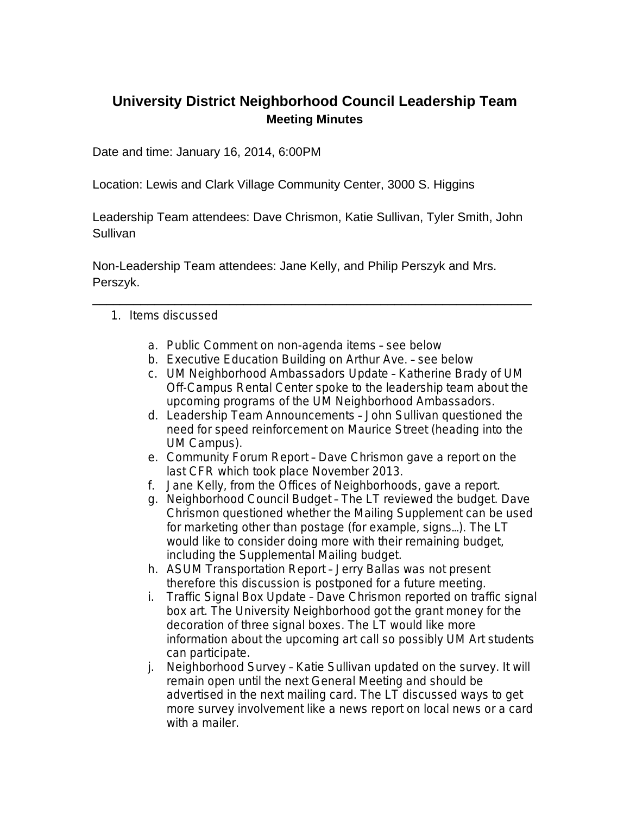## **University District Neighborhood Council Leadership Team Meeting Minutes**

Date and time: January 16, 2014, 6:00PM

Location: Lewis and Clark Village Community Center, 3000 S. Higgins

Leadership Team attendees: Dave Chrismon, Katie Sullivan, Tyler Smith, John **Sullivan** 

Non-Leadership Team attendees: Jane Kelly, and Philip Perszyk and Mrs. Perszyk.

- 1. Items discussed
	- a. Public Comment on non-agenda items see below
	- b. Executive Education Building on Arthur Ave. see below

\_\_\_\_\_\_\_\_\_\_\_\_\_\_\_\_\_\_\_\_\_\_\_\_\_\_\_\_\_\_\_\_\_\_\_\_\_\_\_\_\_\_\_\_\_\_\_\_\_\_\_\_\_\_\_\_\_\_\_\_\_\_\_\_

- c. UM Neighborhood Ambassadors Update Katherine Brady of UM Off-Campus Rental Center spoke to the leadership team about the upcoming programs of the UM Neighborhood Ambassadors.
- d. Leadership Team Announcements John Sullivan questioned the need for speed reinforcement on Maurice Street (heading into the UM Campus).
- e. Community Forum Report Dave Chrismon gave a report on the last CFR which took place November 2013.
- f. Jane Kelly, from the Offices of Neighborhoods, gave a report.
- g. Neighborhood Council Budget The LT reviewed the budget. Dave Chrismon questioned whether the Mailing Supplement can be used for marketing other than postage (for example, signs…). The LT would like to consider doing more with their remaining budget, including the Supplemental Mailing budget.
- h. ASUM Transportation Report Jerry Ballas was not present therefore this discussion is postponed for a future meeting.
- i. Traffic Signal Box Update Dave Chrismon reported on traffic signal box art. The University Neighborhood got the grant money for the decoration of three signal boxes. The LT would like more information about the upcoming art call so possibly UM Art students can participate.
- j. Neighborhood Survey Katie Sullivan updated on the survey. It will remain open until the next General Meeting and should be advertised in the next mailing card. The LT discussed ways to get more survey involvement like a news report on local news or a card with a mailer.